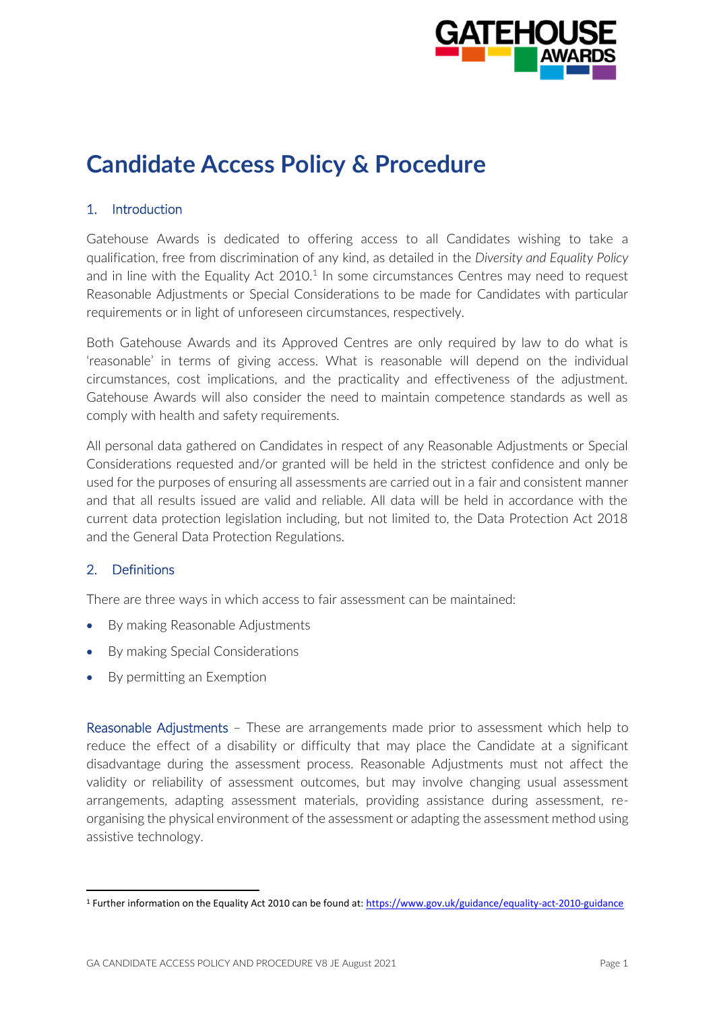

# **Candidate Access Policy & Procedure**

# 1. Introduction

Gatehouse Awards is dedicated to offering access to all Candidates wishing to take a qualification, free from discrimination of any kind, as detailed in the *Diversity and Equality Policy* and in line with the Equality Act  $2010<sup>1</sup>$  In some circumstances Centres may need to request Reasonable Adjustments or Special Considerations to be made for Candidates with particular requirements or in light of unforeseen circumstances, respectively.

Both Gatehouse Awards and its Approved Centres are only required by law to do what is 'reasonable' in terms of giving access. What is reasonable will depend on the individual circumstances, cost implications, and the practicality and effectiveness of the adjustment. Gatehouse Awards will also consider the need to maintain competence standards as well as comply with health and safety requirements.

All personal data gathered on Candidates in respect of any Reasonable Adjustments or Special Considerations requested and/or granted will be held in the strictest confidence and only be used for the purposes of ensuring all assessments are carried out in a fair and consistent manner and that all results issued are valid and reliable. All data will be held in accordance with the current data protection legislation including, but not limited to, the Data Protection Act 2018 and the General Data Protection Regulations.

# 2. Definitions

There are three ways in which access to fair assessment can be maintained:

- By making Reasonable Adjustments
- By making Special Considerations
- By permitting an Exemption

Reasonable Adjustments – These are arrangements made prior to assessment which help to reduce the effect of a disability or difficulty that may place the Candidate at a significant disadvantage during the assessment process. Reasonable Adjustments must not affect the validity or reliability of assessment outcomes, but may involve changing usual assessment arrangements, adapting assessment materials, providing assistance during assessment, reorganising the physical environment of the assessment or adapting the assessment method using assistive technology.

<sup>&</sup>lt;sup>1</sup> Further information on the Equality Act 2010 can be found at:<https://www.gov.uk/guidance/equality-act-2010-guidance>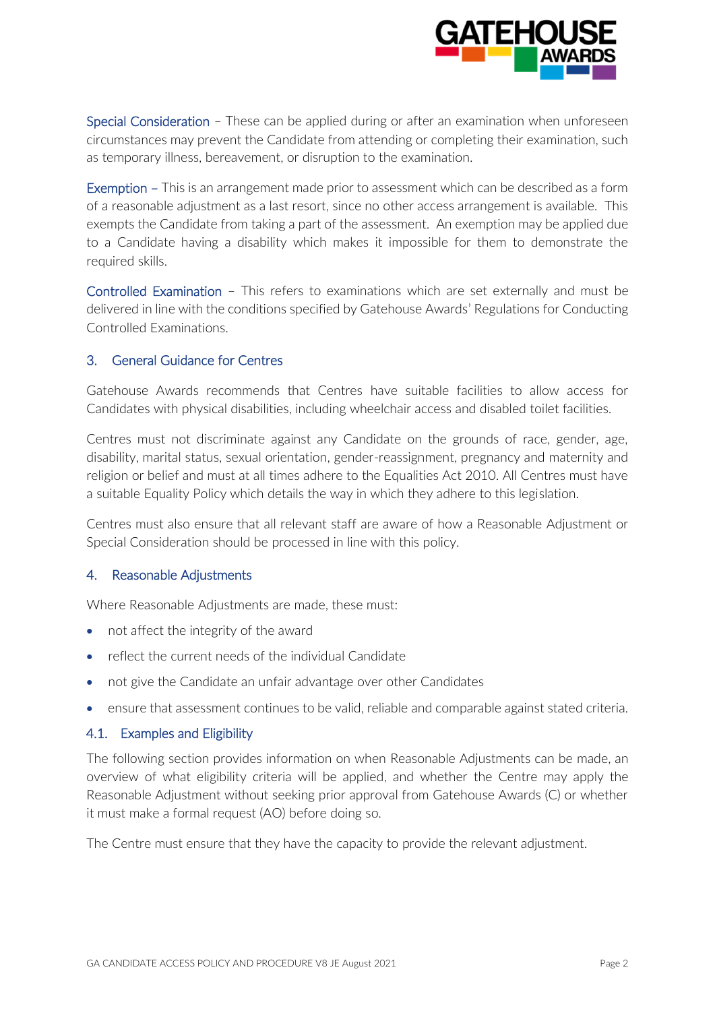

Special Consideration – These can be applied during or after an examination when unforeseen circumstances may prevent the Candidate from attending or completing their examination, such as temporary illness, bereavement, or disruption to the examination.

Exemption – This is an arrangement made prior to assessment which can be described as a form of a reasonable adjustment as a last resort, since no other access arrangement is available. This exempts the Candidate from taking a part of the assessment. An exemption may be applied due to a Candidate having a disability which makes it impossible for them to demonstrate the required skills.

Controlled Examination – This refers to examinations which are set externally and must be delivered in line with the conditions specified by Gatehouse Awards' Regulations for Conducting Controlled Examinations.

# 3. General Guidance for Centres

Gatehouse Awards recommends that Centres have suitable facilities to allow access for Candidates with physical disabilities, including wheelchair access and disabled toilet facilities.

Centres must not discriminate against any Candidate on the grounds of race, gender, age, disability, marital status, sexual orientation, gender-reassignment, pregnancy and maternity and religion or belief and must at all times adhere to the Equalities Act 2010. All Centres must have a suitable Equality Policy which details the way in which they adhere to this legislation.

Centres must also ensure that all relevant staff are aware of how a Reasonable Adjustment or Special Consideration should be processed in line with this policy.

#### 4. Reasonable Adjustments

Where Reasonable Adjustments are made, these must:

- not affect the integrity of the award
- reflect the current needs of the individual Candidate
- not give the Candidate an unfair advantage over other Candidates
- ensure that assessment continues to be valid, reliable and comparable against stated criteria.

# 4.1. Examples and Eligibility

The following section provides information on when Reasonable Adjustments can be made, an overview of what eligibility criteria will be applied, and whether the Centre may apply the Reasonable Adjustment without seeking prior approval from Gatehouse Awards (C) or whether it must make a formal request (AO) before doing so.

The Centre must ensure that they have the capacity to provide the relevant adjustment.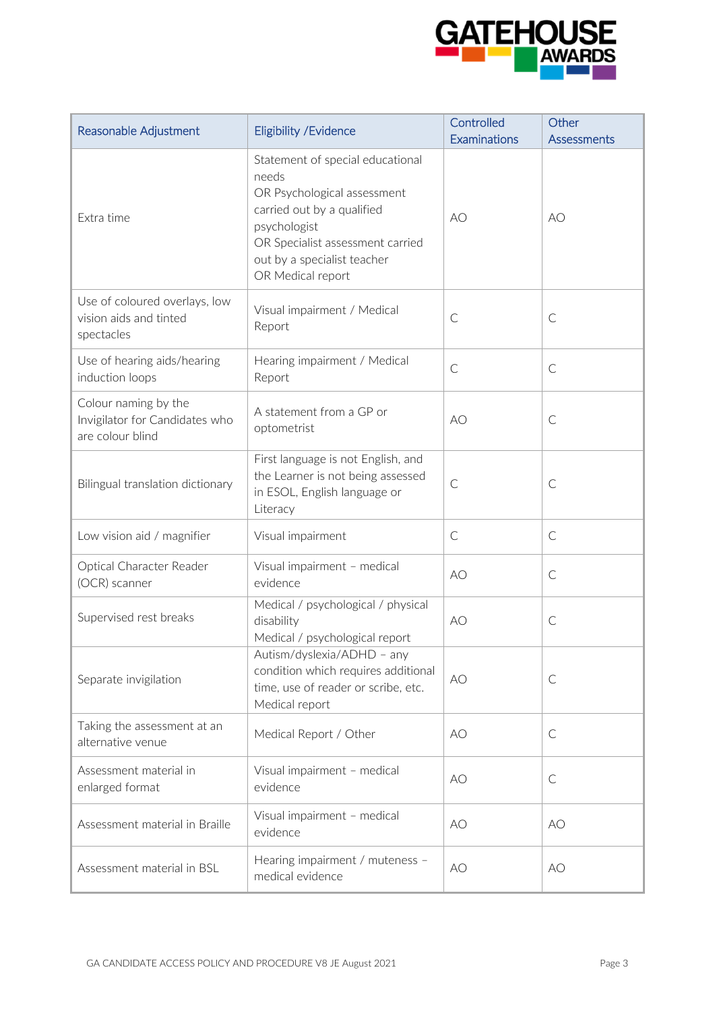

| Reasonable Adjustment                                                      | Eligibility / Evidence                                                                                                                                                                                         | Controlled<br>Examinations | Other<br>Assessments |
|----------------------------------------------------------------------------|----------------------------------------------------------------------------------------------------------------------------------------------------------------------------------------------------------------|----------------------------|----------------------|
| Extra time                                                                 | Statement of special educational<br>needs<br>OR Psychological assessment<br>carried out by a qualified<br>psychologist<br>OR Specialist assessment carried<br>out by a specialist teacher<br>OR Medical report | AO                         | AO                   |
| Use of coloured overlays, low<br>vision aids and tinted<br>spectacles      | Visual impairment / Medical<br>Report                                                                                                                                                                          | $\mathsf{C}$               | $\mathsf{C}$         |
| Use of hearing aids/hearing<br>induction loops                             | Hearing impairment / Medical<br>Report                                                                                                                                                                         | $\mathsf{C}$               | $\mathsf{C}$         |
| Colour naming by the<br>Invigilator for Candidates who<br>are colour blind | A statement from a GP or<br>optometrist                                                                                                                                                                        | AO                         | $\mathsf{C}$         |
| Bilingual translation dictionary                                           | First language is not English, and<br>the Learner is not being assessed<br>in ESOL, English language or<br>Literacy                                                                                            | $\mathsf{C}$               | $\mathsf{C}$         |
| Low vision aid / magnifier                                                 | Visual impairment                                                                                                                                                                                              | $\mathsf{C}$               | $\mathsf{C}$         |
| Optical Character Reader<br>(OCR) scanner                                  | Visual impairment - medical<br>evidence                                                                                                                                                                        | AO                         | $\mathsf{C}$         |
| Supervised rest breaks                                                     | Medical / psychological / physical<br>disability<br>Medical / psychological report                                                                                                                             | AO                         | $\mathsf{C}$         |
| Separate invigilation                                                      | Autism/dyslexia/ADHD - any<br>condition which requires additional<br>time, use of reader or scribe, etc.<br>Medical report                                                                                     | AO                         | $\mathsf{C}$         |
| Taking the assessment at an<br>alternative venue                           | Medical Report / Other                                                                                                                                                                                         | AO                         | $\mathsf{C}$         |
| Assessment material in<br>enlarged format                                  | Visual impairment - medical<br>evidence                                                                                                                                                                        | AO                         | $\mathsf{C}$         |
| Assessment material in Braille                                             | Visual impairment - medical<br>evidence                                                                                                                                                                        | AO                         | AO                   |
| Assessment material in BSL                                                 | Hearing impairment / muteness -<br>medical evidence                                                                                                                                                            | AO                         | AO                   |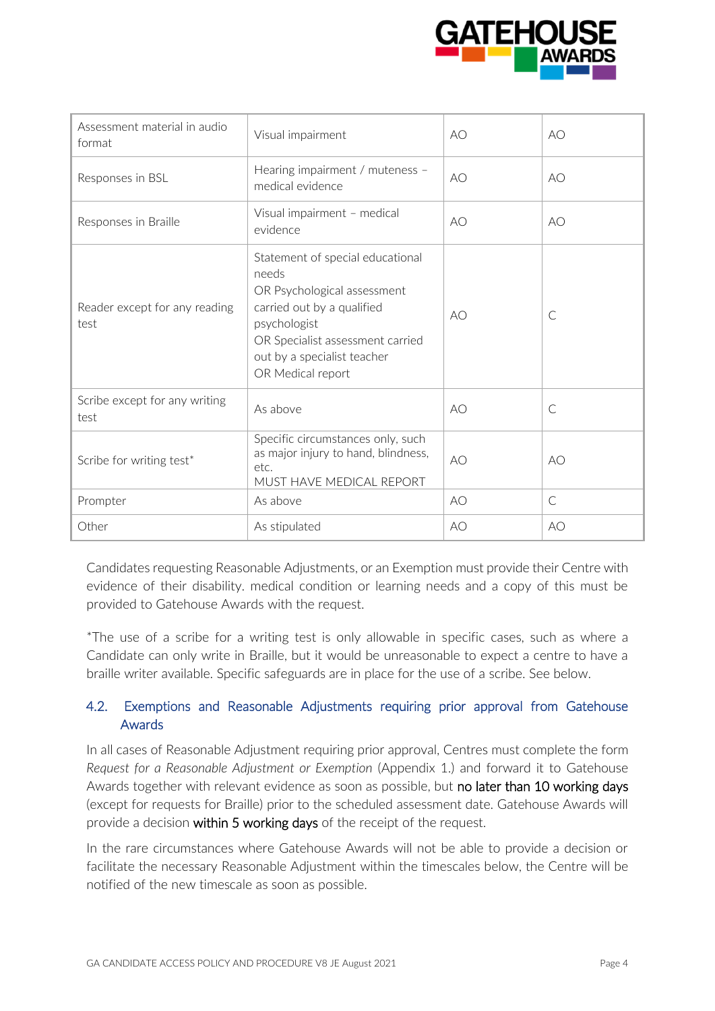

| Assessment material in audio<br>format | Visual impairment                                                                                                                                                                                              | AO | AO           |
|----------------------------------------|----------------------------------------------------------------------------------------------------------------------------------------------------------------------------------------------------------------|----|--------------|
| Responses in BSL                       | Hearing impairment / muteness -<br>medical evidence                                                                                                                                                            | AO | AO           |
| Responses in Braille                   | Visual impairment - medical<br>evidence                                                                                                                                                                        | AO | AO           |
| Reader except for any reading<br>test  | Statement of special educational<br>needs<br>OR Psychological assessment<br>carried out by a qualified<br>psychologist<br>OR Specialist assessment carried<br>out by a specialist teacher<br>OR Medical report | AO | $\subset$    |
| Scribe except for any writing<br>test  | As above                                                                                                                                                                                                       | AO | $\subset$    |
| Scribe for writing test*               | Specific circumstances only, such<br>as major injury to hand, blindness,<br>etc.<br>MUST HAVE MEDICAL REPORT                                                                                                   | AO | AO           |
| Prompter                               | As above                                                                                                                                                                                                       | AO | $\mathsf{C}$ |
| Other                                  | As stipulated                                                                                                                                                                                                  | AO | AO           |

Candidates requesting Reasonable Adjustments, or an Exemption must provide their Centre with evidence of their disability. medical condition or learning needs and a copy of this must be provided to Gatehouse Awards with the request.

\*The use of a scribe for a writing test is only allowable in specific cases, such as where a Candidate can only write in Braille, but it would be unreasonable to expect a centre to have a braille writer available. Specific safeguards are in place for the use of a scribe. See below.

# 4.2. Exemptions and Reasonable Adjustments requiring prior approval from Gatehouse Awards

In all cases of Reasonable Adjustment requiring prior approval, Centres must complete the form *Request for a Reasonable Adjustment or Exemption* (Appendix 1.) and forward it to Gatehouse Awards together with relevant evidence as soon as possible, but no later than 10 working days (except for requests for Braille) prior to the scheduled assessment date. Gatehouse Awards will provide a decision within 5 working days of the receipt of the request.

In the rare circumstances where Gatehouse Awards will not be able to provide a decision or facilitate the necessary Reasonable Adjustment within the timescales below, the Centre will be notified of the new timescale as soon as possible.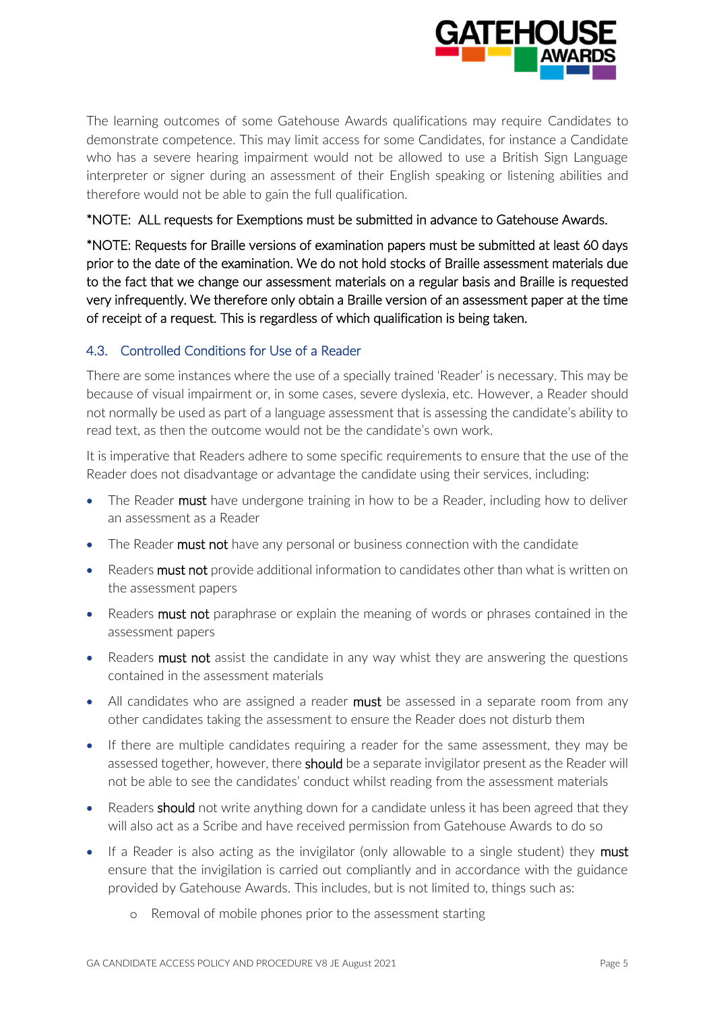

The learning outcomes of some Gatehouse Awards qualifications may require Candidates to demonstrate competence. This may limit access for some Candidates, for instance a Candidate who has a severe hearing impairment would not be allowed to use a British Sign Language interpreter or signer during an assessment of their English speaking or listening abilities and therefore would not be able to gain the full qualification.

# \*NOTE: ALL requests for Exemptions must be submitted in advance to Gatehouse Awards.

\*NOTE: Requests for Braille versions of examination papers must be submitted at least 60 days prior to the date of the examination. We do not hold stocks of Braille assessment materials due to the fact that we change our assessment materials on a regular basis and Braille is requested very infrequently. We therefore only obtain a Braille version of an assessment paper at the time of receipt of a request. This is regardless of which qualification is being taken.

# 4.3. Controlled Conditions for Use of a Reader

There are some instances where the use of a specially trained 'Reader' is necessary. This may be because of visual impairment or, in some cases, severe dyslexia, etc. However, a Reader should not normally be used as part of a language assessment that is assessing the candidate's ability to read text, as then the outcome would not be the candidate's own work.

It is imperative that Readers adhere to some specific requirements to ensure that the use of the Reader does not disadvantage or advantage the candidate using their services, including:

- The Reader must have undergone training in how to be a Reader, including how to deliver an assessment as a Reader
- The Reader must not have any personal or business connection with the candidate
- Readers must not provide additional information to candidates other than what is written on the assessment papers
- Readers must not paraphrase or explain the meaning of words or phrases contained in the assessment papers
- Readers must not assist the candidate in any way whist they are answering the questions contained in the assessment materials
- All candidates who are assigned a reader must be assessed in a separate room from any other candidates taking the assessment to ensure the Reader does not disturb them
- If there are multiple candidates requiring a reader for the same assessment, they may be assessed together, however, there should be a separate invigilator present as the Reader will not be able to see the candidates' conduct whilst reading from the assessment materials
- Readers should not write anything down for a candidate unless it has been agreed that they will also act as a Scribe and have received permission from Gatehouse Awards to do so
- If a Reader is also acting as the invigilator (only allowable to a single student) they **must** ensure that the invigilation is carried out compliantly and in accordance with the guidance provided by Gatehouse Awards. This includes, but is not limited to, things such as:
	- o Removal of mobile phones prior to the assessment starting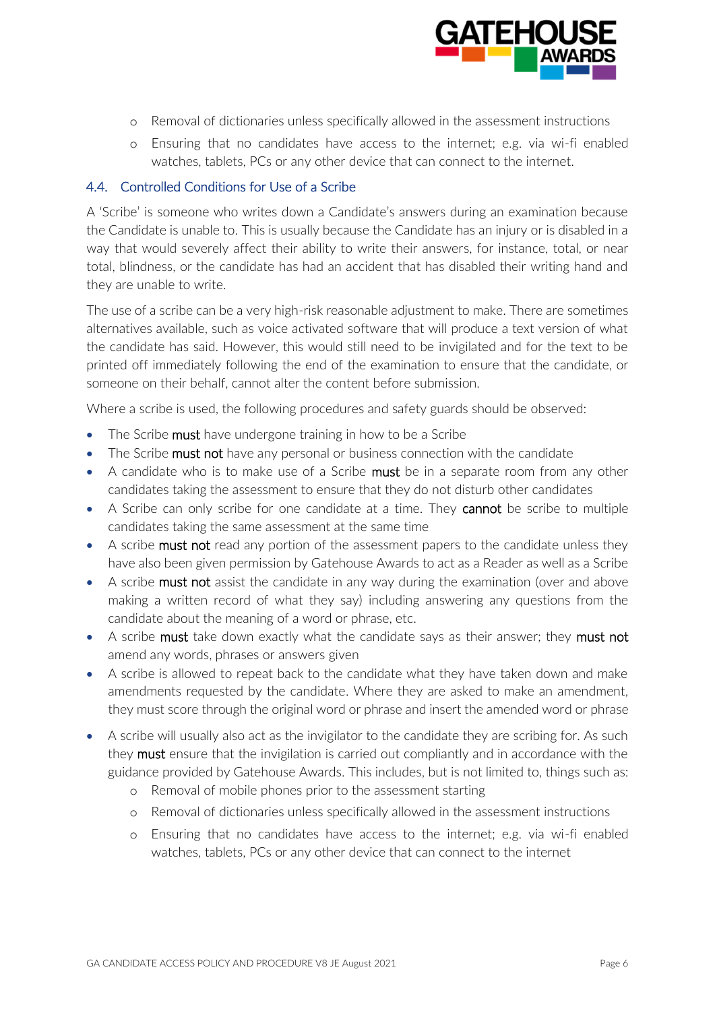

- o Removal of dictionaries unless specifically allowed in the assessment instructions
- o Ensuring that no candidates have access to the internet; e.g. via wi-fi enabled watches, tablets, PCs or any other device that can connect to the internet.

## 4.4. Controlled Conditions for Use of a Scribe

A 'Scribe' is someone who writes down a Candidate's answers during an examination because the Candidate is unable to. This is usually because the Candidate has an injury or is disabled in a way that would severely affect their ability to write their answers, for instance, total, or near total, blindness, or the candidate has had an accident that has disabled their writing hand and they are unable to write.

The use of a scribe can be a very high-risk reasonable adjustment to make. There are sometimes alternatives available, such as voice activated software that will produce a text version of what the candidate has said. However, this would still need to be invigilated and for the text to be printed off immediately following the end of the examination to ensure that the candidate, or someone on their behalf, cannot alter the content before submission.

Where a scribe is used, the following procedures and safety guards should be observed:

- The Scribe **must** have undergone training in how to be a Scribe
- The Scribe must not have any personal or business connection with the candidate
- A candidate who is to make use of a Scribe **must** be in a separate room from any other candidates taking the assessment to ensure that they do not disturb other candidates
- A Scribe can only scribe for one candidate at a time. They **cannot** be scribe to multiple candidates taking the same assessment at the same time
- A scribe must not read any portion of the assessment papers to the candidate unless they have also been given permission by Gatehouse Awards to act as a Reader as well as a Scribe
- A scribe must not assist the candidate in any way during the examination (over and above making a written record of what they say) including answering any questions from the candidate about the meaning of a word or phrase, etc.
- A scribe must take down exactly what the candidate says as their answer; they must not amend any words, phrases or answers given
- A scribe is allowed to repeat back to the candidate what they have taken down and make amendments requested by the candidate. Where they are asked to make an amendment, they must score through the original word or phrase and insert the amended word or phrase
- A scribe will usually also act as the invigilator to the candidate they are scribing for. As such they **must** ensure that the invigilation is carried out compliantly and in accordance with the guidance provided by Gatehouse Awards. This includes, but is not limited to, things such as:
	- o Removal of mobile phones prior to the assessment starting
	- o Removal of dictionaries unless specifically allowed in the assessment instructions
	- o Ensuring that no candidates have access to the internet; e.g. via wi-fi enabled watches, tablets, PCs or any other device that can connect to the internet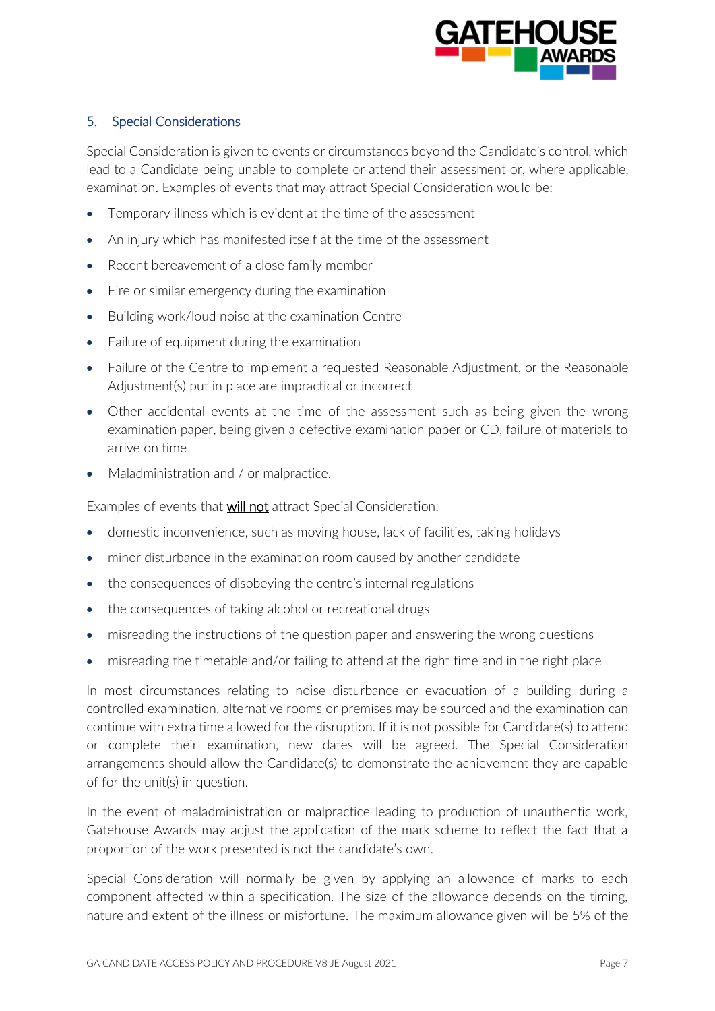

# 5. Special Considerations

Special Consideration is given to events or circumstances beyond the Candidate's control, which lead to a Candidate being unable to complete or attend their assessment or, where applicable, examination. Examples of events that may attract Special Consideration would be:

- Temporary illness which is evident at the time of the assessment
- An injury which has manifested itself at the time of the assessment
- Recent bereavement of a close family member
- Fire or similar emergency during the examination
- Building work/loud noise at the examination Centre
- Failure of equipment during the examination
- Failure of the Centre to implement a requested Reasonable Adjustment, or the Reasonable Adjustment(s) put in place are impractical or incorrect
- Other accidental events at the time of the assessment such as being given the wrong examination paper, being given a defective examination paper or CD, failure of materials to arrive on time
- Maladministration and / or malpractice.

Examples of events that will not attract Special Consideration:

- domestic inconvenience, such as moving house, lack of facilities, taking holidays
- minor disturbance in the examination room caused by another candidate
- the consequences of disobeying the centre's internal regulations
- the consequences of taking alcohol or recreational drugs
- misreading the instructions of the question paper and answering the wrong questions
- misreading the timetable and/or failing to attend at the right time and in the right place

In most circumstances relating to noise disturbance or evacuation of a building during a controlled examination, alternative rooms or premises may be sourced and the examination can continue with extra time allowed for the disruption. If it is not possible for Candidate(s) to attend or complete their examination, new dates will be agreed. The Special Consideration arrangements should allow the Candidate(s) to demonstrate the achievement they are capable of for the unit(s) in question.

In the event of maladministration or malpractice leading to production of unauthentic work, Gatehouse Awards may adjust the application of the mark scheme to reflect the fact that a proportion of the work presented is not the candidate's own.

Special Consideration will normally be given by applying an allowance of marks to each component affected within a specification. The size of the allowance depends on the timing, nature and extent of the illness or misfortune. The maximum allowance given will be 5% of the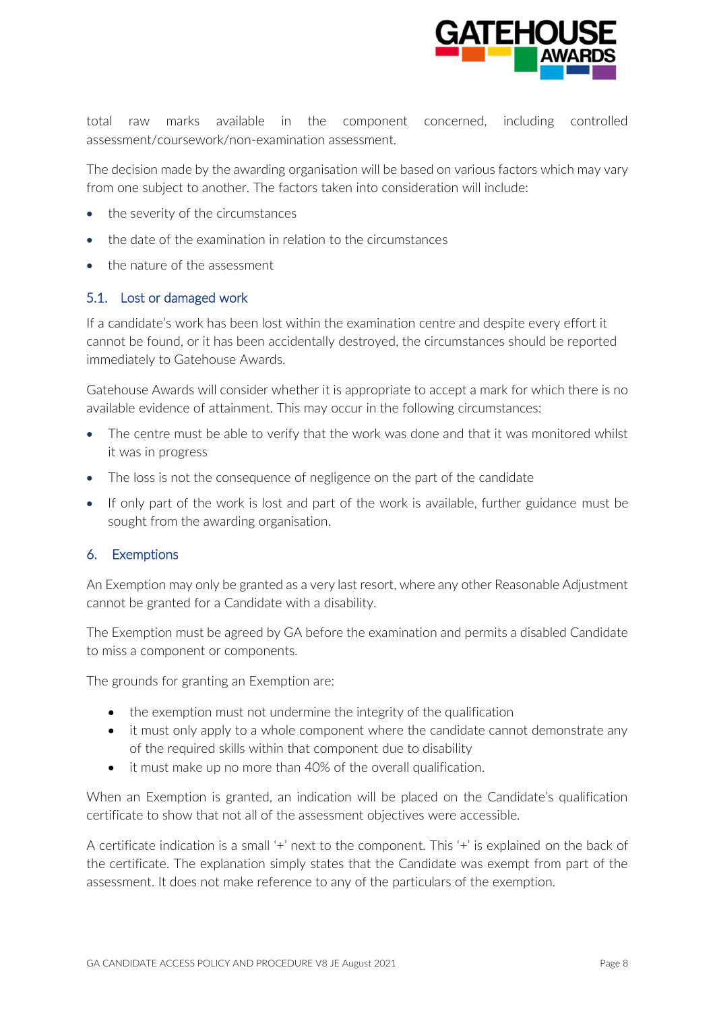

total raw marks available in the component concerned, including controlled assessment/coursework/non-examination assessment.

The decision made by the awarding organisation will be based on various factors which may vary from one subject to another. The factors taken into consideration will include:

- the severity of the circumstances
- the date of the examination in relation to the circumstances
- the nature of the assessment

# 5.1. Lost or damaged work

If a candidate's work has been lost within the examination centre and despite every effort it cannot be found, or it has been accidentally destroyed, the circumstances should be reported immediately to Gatehouse Awards.

Gatehouse Awards will consider whether it is appropriate to accept a mark for which there is no available evidence of attainment. This may occur in the following circumstances:

- The centre must be able to verify that the work was done and that it was monitored whilst it was in progress
- The loss is not the consequence of negligence on the part of the candidate
- If only part of the work is lost and part of the work is available, further guidance must be sought from the awarding organisation.

# 6. Exemptions

An Exemption may only be granted as a very last resort, where any other Reasonable Adjustment cannot be granted for a Candidate with a disability.

The Exemption must be agreed by GA before the examination and permits a disabled Candidate to miss a component or components.

The grounds for granting an Exemption are:

- the exemption must not undermine the integrity of the qualification
- it must only apply to a whole component where the candidate cannot demonstrate any of the required skills within that component due to disability
- it must make up no more than 40% of the overall qualification.

When an Exemption is granted, an indication will be placed on the Candidate's qualification certificate to show that not all of the assessment objectives were accessible.

A certificate indication is a small '+' next to the component. This '+' is explained on the back of the certificate. The explanation simply states that the Candidate was exempt from part of the assessment. It does not make reference to any of the particulars of the exemption.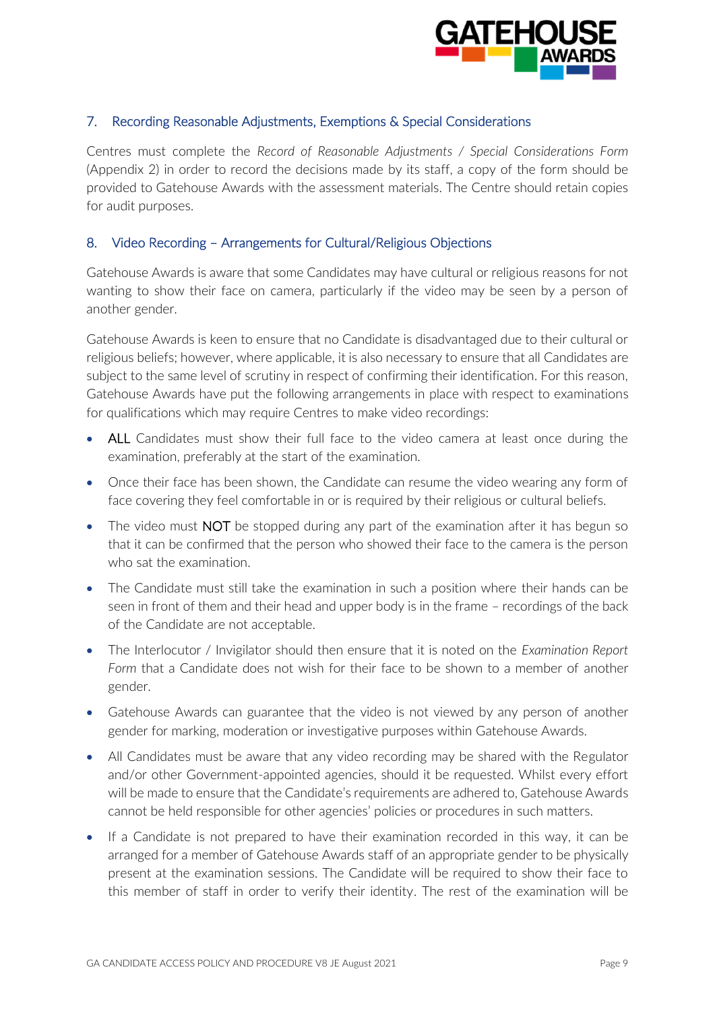

# 7. Recording Reasonable Adjustments, Exemptions & Special Considerations

Centres must complete the *Record of Reasonable Adjustments / Special Considerations Form* (Appendix 2) in order to record the decisions made by its staff, a copy of the form should be provided to Gatehouse Awards with the assessment materials. The Centre should retain copies for audit purposes.

## 8. Video Recording – Arrangements for Cultural/Religious Objections

Gatehouse Awards is aware that some Candidates may have cultural or religious reasons for not wanting to show their face on camera, particularly if the video may be seen by a person of another gender.

Gatehouse Awards is keen to ensure that no Candidate is disadvantaged due to their cultural or religious beliefs; however, where applicable, it is also necessary to ensure that all Candidates are subject to the same level of scrutiny in respect of confirming their identification. For this reason, Gatehouse Awards have put the following arrangements in place with respect to examinations for qualifications which may require Centres to make video recordings:

- ALL Candidates must show their full face to the video camera at least once during the examination, preferably at the start of the examination.
- Once their face has been shown, the Candidate can resume the video wearing any form of face covering they feel comfortable in or is required by their religious or cultural beliefs.
- The video must **NOT** be stopped during any part of the examination after it has begun so that it can be confirmed that the person who showed their face to the camera is the person who sat the examination
- The Candidate must still take the examination in such a position where their hands can be seen in front of them and their head and upper body is in the frame – recordings of the back of the Candidate are not acceptable.
- The Interlocutor / Invigilator should then ensure that it is noted on the *Examination Report Form* that a Candidate does not wish for their face to be shown to a member of another gender.
- Gatehouse Awards can guarantee that the video is not viewed by any person of another gender for marking, moderation or investigative purposes within Gatehouse Awards.
- All Candidates must be aware that any video recording may be shared with the Regulator and/or other Government-appointed agencies, should it be requested. Whilst every effort will be made to ensure that the Candidate's requirements are adhered to, Gatehouse Awards cannot be held responsible for other agencies' policies or procedures in such matters.
- If a Candidate is not prepared to have their examination recorded in this way, it can be arranged for a member of Gatehouse Awards staff of an appropriate gender to be physically present at the examination sessions. The Candidate will be required to show their face to this member of staff in order to verify their identity. The rest of the examination will be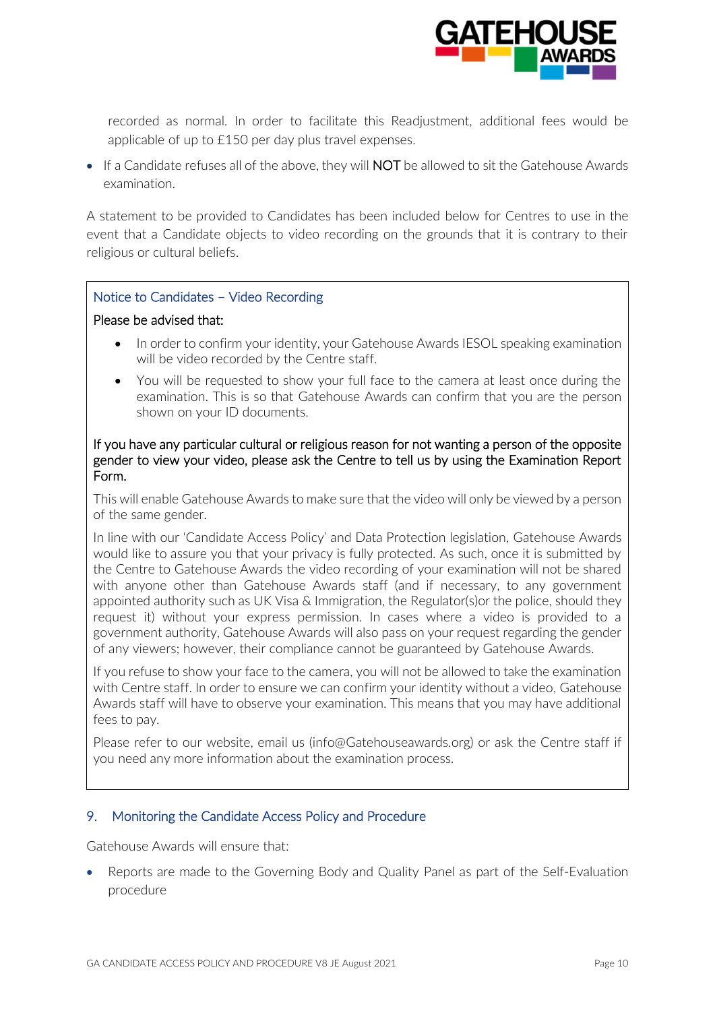

recorded as normal. In order to facilitate this Readjustment, additional fees would be applicable of up to £150 per day plus travel expenses.

• If a Candidate refuses all of the above, they will **NOT** be allowed to sit the Gatehouse Awards examination.

A statement to be provided to Candidates has been included below for Centres to use in the event that a Candidate objects to video recording on the grounds that it is contrary to their religious or cultural beliefs.

#### Notice to Candidates – Video Recording

#### Please be advised that:

- In order to confirm your identity, your Gatehouse Awards IESOL speaking examination will be video recorded by the Centre staff.
- You will be requested to show your full face to the camera at least once during the examination. This is so that Gatehouse Awards can confirm that you are the person shown on your ID documents.

#### If you have any particular cultural or religious reason for not wanting a person of the opposite gender to view your video, please ask the Centre to tell us by using the Examination Report Form.

This will enable Gatehouse Awards to make sure that the video will only be viewed by a person of the same gender.

In line with our 'Candidate Access Policy' and Data Protection legislation, Gatehouse Awards would like to assure you that your privacy is fully protected. As such, once it is submitted by the Centre to Gatehouse Awards the video recording of your examination will not be shared with anyone other than Gatehouse Awards staff (and if necessary, to any government appointed authority such as UK Visa & Immigration, the Regulator(s)or the police, should they request it) without your express permission. In cases where a video is provided to a government authority, Gatehouse Awards will also pass on your request regarding the gender of any viewers; however, their compliance cannot be guaranteed by Gatehouse Awards.

If you refuse to show your face to the camera, you will not be allowed to take the examination with Centre staff. In order to ensure we can confirm your identity without a video, Gatehouse Awards staff will have to observe your examination. This means that you may have additional fees to pay.

Please refer to our website, email us (info@Gatehouseawards.org) or ask the Centre staff if you need any more information about the examination process.

# 9. Monitoring the Candidate Access Policy and Procedure

Gatehouse Awards will ensure that:

• Reports are made to the Governing Body and Quality Panel as part of the Self-Evaluation procedure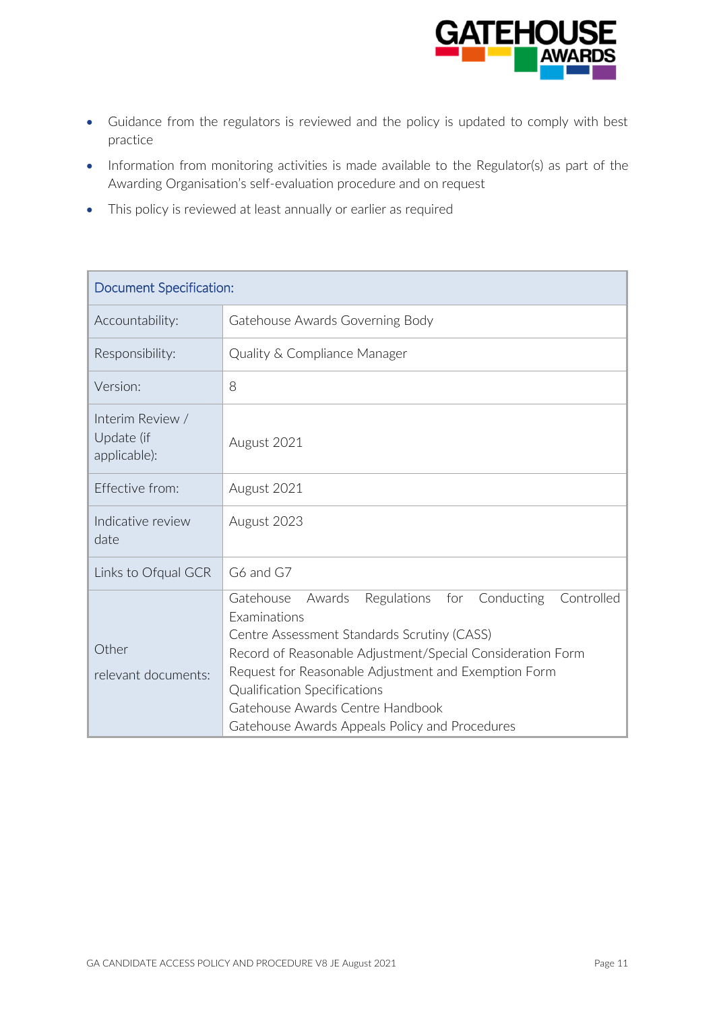

- Guidance from the regulators is reviewed and the policy is updated to comply with best practice
- Information from monitoring activities is made available to the Regulator(s) as part of the Awarding Organisation's self-evaluation procedure and on request
- This policy is reviewed at least annually or earlier as required

| Document Specification:                        |                                                                                                                                                                                                                                                                                                                                                                                         |  |  |
|------------------------------------------------|-----------------------------------------------------------------------------------------------------------------------------------------------------------------------------------------------------------------------------------------------------------------------------------------------------------------------------------------------------------------------------------------|--|--|
| Accountability:                                | Gatehouse Awards Governing Body                                                                                                                                                                                                                                                                                                                                                         |  |  |
| Responsibility:                                | Quality & Compliance Manager                                                                                                                                                                                                                                                                                                                                                            |  |  |
| Version:                                       | 8                                                                                                                                                                                                                                                                                                                                                                                       |  |  |
| Interim Review /<br>Update (if<br>applicable): | August 2021                                                                                                                                                                                                                                                                                                                                                                             |  |  |
| Fffective from:                                | August 2021                                                                                                                                                                                                                                                                                                                                                                             |  |  |
| Indicative review<br>date                      | August 2023                                                                                                                                                                                                                                                                                                                                                                             |  |  |
| Links to Ofqual GCR                            | G6 and G7                                                                                                                                                                                                                                                                                                                                                                               |  |  |
| Other<br>relevant documents:                   | Conducting<br>Controlled<br>Gatehouse<br>Awards<br><b>Regulations</b><br>for<br>Examinations<br>Centre Assessment Standards Scrutiny (CASS)<br>Record of Reasonable Adjustment/Special Consideration Form<br>Request for Reasonable Adjustment and Exemption Form<br>Qualification Specifications<br>Gatehouse Awards Centre Handbook<br>Gatehouse Awards Appeals Policy and Procedures |  |  |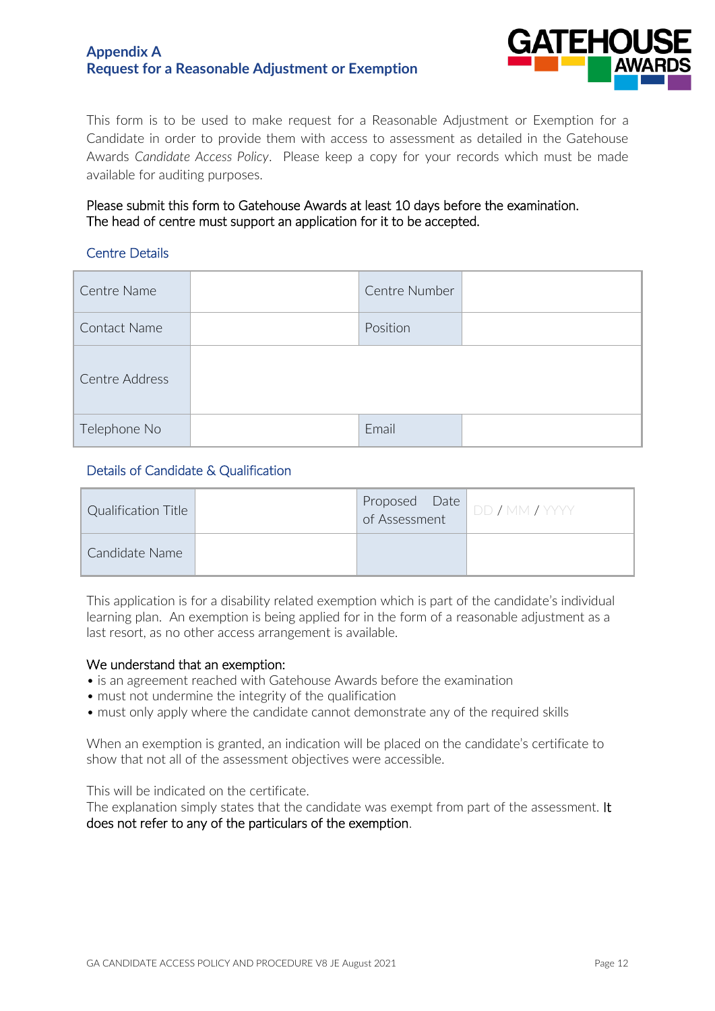# **Appendix A Request for a Reasonable Adjustment or Exemption**



This form is to be used to make request for a Reasonable Adjustment or Exemption for a Candidate in order to provide them with access to assessment as detailed in the Gatehouse Awards *Candidate Access Policy*. Please keep a copy for your records which must be made available for auditing purposes.

#### Please submit this form to Gatehouse Awards at least 10 days before the examination. The head of centre must support an application for it to be accepted.

#### Centre Details

| Centre Name    | Centre Number |  |
|----------------|---------------|--|
| Contact Name   | Position      |  |
| Centre Address |               |  |
| Telephone No   | Email         |  |

#### Details of Candidate & Qualification

| Qualification Title | of Assessment | Proposed Date DD / MM / YYYY |
|---------------------|---------------|------------------------------|
| Candidate Name      |               |                              |

This application is for a disability related exemption which is part of the candidate's individual learning plan. An exemption is being applied for in the form of a reasonable adjustment as a last resort, as no other access arrangement is available.

#### We understand that an exemption:

- is an agreement reached with Gatehouse Awards before the examination
- must not undermine the integrity of the qualification
- must only apply where the candidate cannot demonstrate any of the required skills

When an exemption is granted, an indication will be placed on the candidate's certificate to show that not all of the assessment objectives were accessible.

This will be indicated on the certificate.

The explanation simply states that the candidate was exempt from part of the assessment. It does not refer to any of the particulars of the exemption.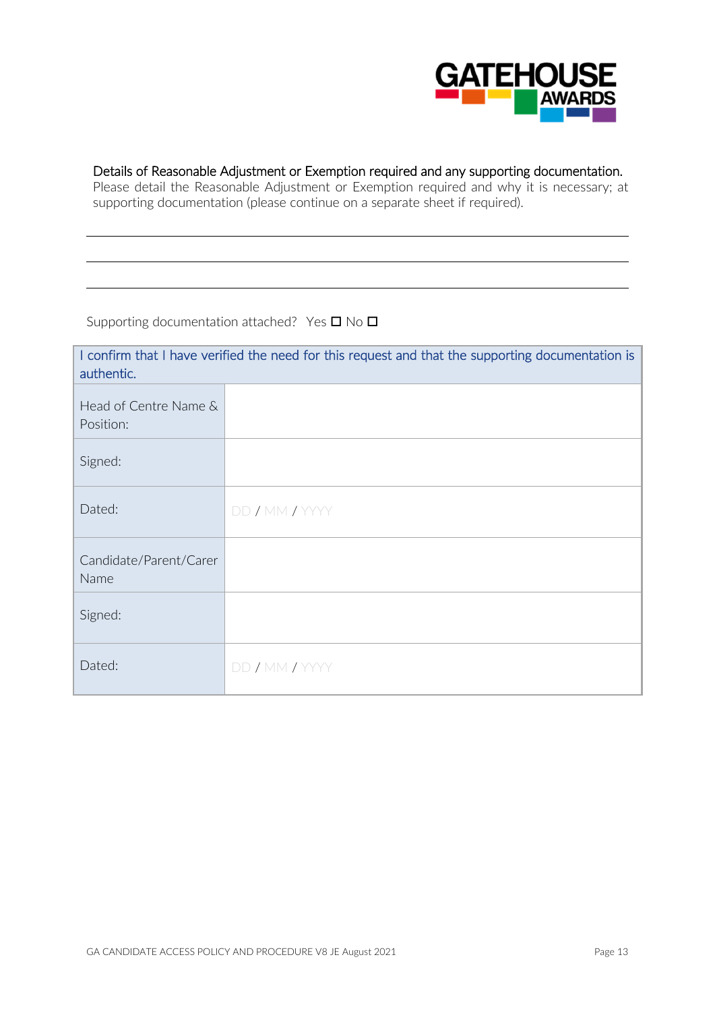

# Details of Reasonable Adjustment or Exemption required and any supporting documentation.

Please detail the Reasonable Adjustment or Exemption required and why it is necessary; at supporting documentation (please continue on a separate sheet if required).

Supporting documentation attached? Yes  $\square$  No  $\square$ 

| I confirm that I have verified the need for this request and that the supporting documentation is<br>authentic. |                |  |  |
|-----------------------------------------------------------------------------------------------------------------|----------------|--|--|
| Head of Centre Name &<br>Position:                                                                              |                |  |  |
| Signed:                                                                                                         |                |  |  |
| Dated:                                                                                                          | DD / MM / YYYY |  |  |
| Candidate/Parent/Carer<br>Name                                                                                  |                |  |  |
| Signed:                                                                                                         |                |  |  |
| Dated:                                                                                                          | DD / MM / YYYY |  |  |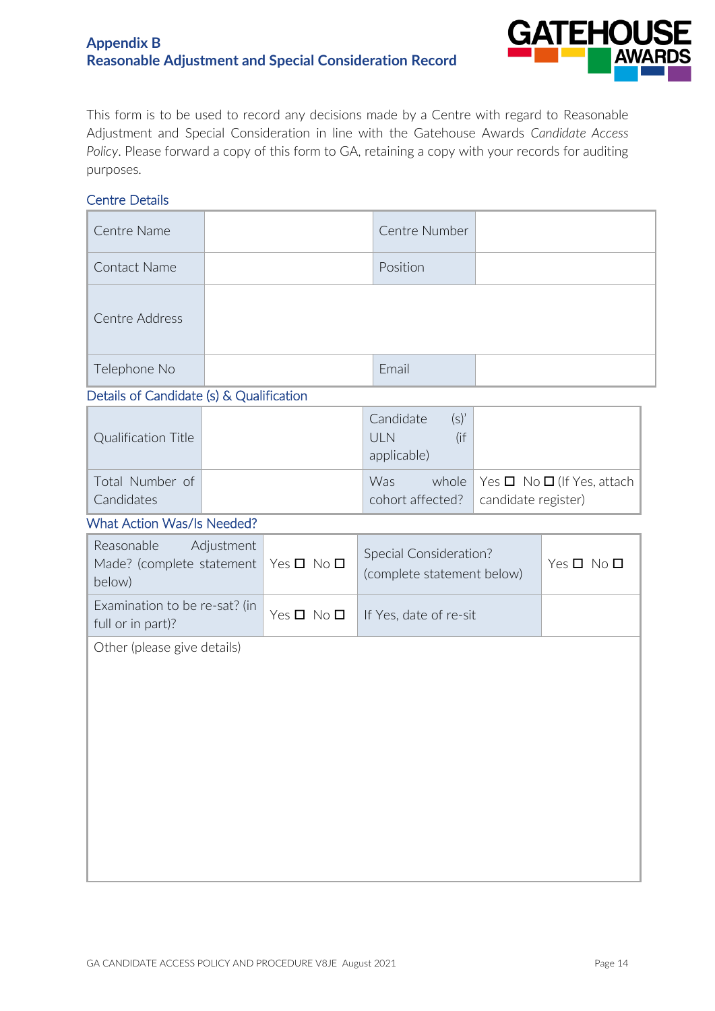# **Appendix B Reasonable Adjustment and Special Consideration Record**



This form is to be used to record any decisions made by a Centre with regard to Reasonable Adjustment and Special Consideration in line with the Gatehouse Awards *Candidate Access Policy*. Please forward a copy of this form to GA, retaining a copy with your records for auditing purposes.

#### Centre Details

| Centre Name                                        |            |                    | Centre Number                                               |                     |                                      |
|----------------------------------------------------|------------|--------------------|-------------------------------------------------------------|---------------------|--------------------------------------|
| <b>Contact Name</b>                                |            |                    | Position                                                    |                     |                                      |
| Centre Address                                     |            |                    |                                                             |                     |                                      |
| Telephone No                                       |            |                    | Email                                                       |                     |                                      |
| Details of Candidate (s) & Qualification           |            |                    |                                                             |                     |                                      |
| <b>Qualification Title</b>                         |            |                    | $(s)$ '<br>Candidate<br><b>ULN</b><br>$($ if<br>applicable) |                     |                                      |
| Total Number of<br>Candidates                      |            |                    | Was<br>whole<br>cohort affected?                            | candidate register) | Yes $\Box$ No $\Box$ (If Yes, attach |
| <b>What Action Was/Is Needed?</b>                  |            |                    |                                                             |                     |                                      |
| Reasonable<br>Made? (complete statement<br>below)  | Adjustment | $Yes \Box No \Box$ | Special Consideration?<br>(complete statement below)        |                     | $Yes \Box No \Box$                   |
| Examination to be re-sat? (in<br>full or in part)? |            | $Yes \Box No \Box$ | If Yes, date of re-sit                                      |                     |                                      |
| Other (please give details)                        |            |                    |                                                             |                     |                                      |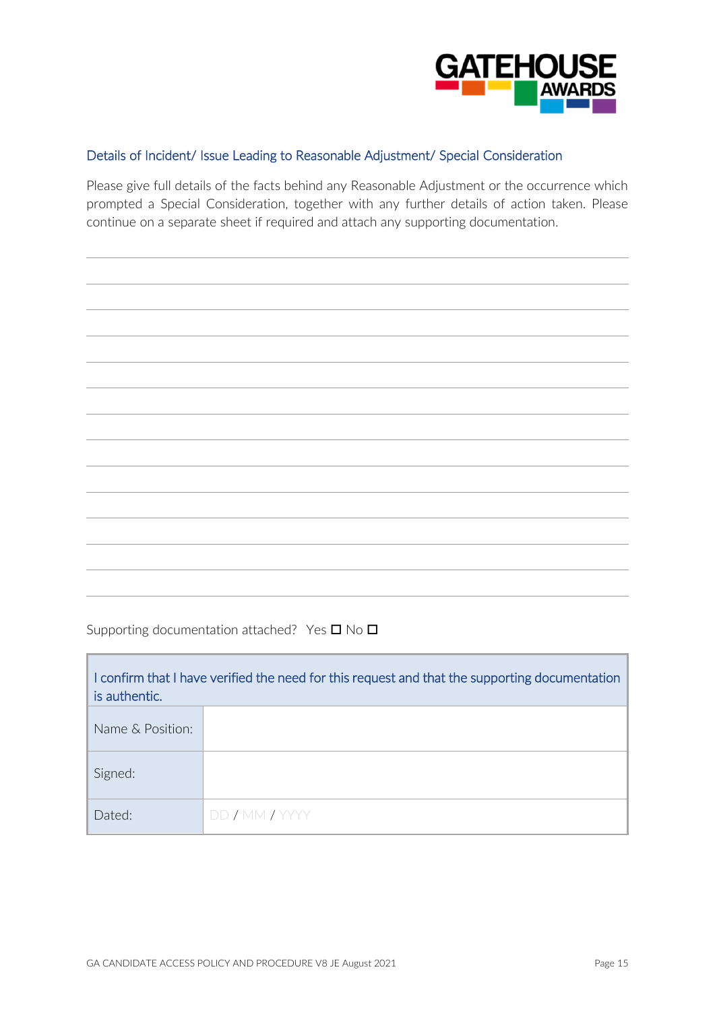

## Details of Incident/ Issue Leading to Reasonable Adjustment/ Special Consideration

Please give full details of the facts behind any Reasonable Adjustment or the occurrence which prompted a Special Consideration, together with any further details of action taken. Please continue on a separate sheet if required and attach any supporting documentation.

| ,我们也不会有什么?""我们的人,我们也不会不会不会。""我们的人,我们也不会不会不会不会。""我们的人,我们也不会不会不会。""我们的人,我们也不会不会不会不                                      |  |
|-----------------------------------------------------------------------------------------------------------------------|--|
|                                                                                                                       |  |
| <u> 1999 - Jan Samuel Barbara, margaret eta batean batean batean batean batean batean batean batean batean batean</u> |  |
| ,我们也不能会在这里,我们的人们就会在这里,我们的人们就会在这里,我们的人们就会在这里,我们的人们就会在这里,我们的人们就会在这里,我们的人们就会在这里,我们的                                      |  |
|                                                                                                                       |  |
|                                                                                                                       |  |
|                                                                                                                       |  |
|                                                                                                                       |  |
| ,我们也不能会在这里,我们的人们就会在这里,我们的人们就会在这里,我们的人们就会在这里,我们的人们就会在这里,我们的人们就会在这里,我们的人们就会在这里,我们的                                      |  |
|                                                                                                                       |  |
|                                                                                                                       |  |
|                                                                                                                       |  |

Supporting documentation attached? Yes  $\square$  No  $\square$ 

F

| I confirm that I have verified the need for this request and that the supporting documentation<br>is authentic. |                |  |  |
|-----------------------------------------------------------------------------------------------------------------|----------------|--|--|
| Name & Position:                                                                                                |                |  |  |
| Signed:                                                                                                         |                |  |  |
| Dated:                                                                                                          | DD / MM / YYYY |  |  |

h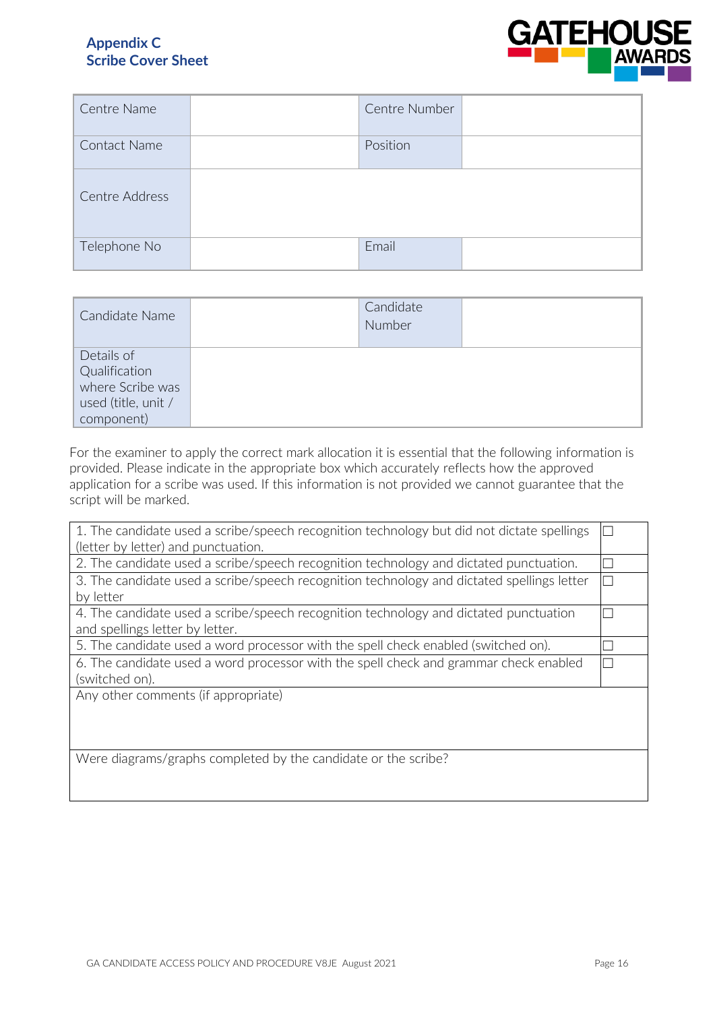# **Appendix C Scribe Cover Sheet**



| Centre Name    | Centre Number |  |
|----------------|---------------|--|
| Contact Name   | Position      |  |
| Centre Address |               |  |
| Telephone No   | Email         |  |

| Candidate Name                                                                       | Candidate<br><b>Number</b> |  |
|--------------------------------------------------------------------------------------|----------------------------|--|
| Details of<br>Qualification<br>where Scribe was<br>used (title, unit /<br>component) |                            |  |

For the examiner to apply the correct mark allocation it is essential that the following information is provided. Please indicate in the appropriate box which accurately reflects how the approved application for a scribe was used. If this information is not provided we cannot guarantee that the script will be marked.

| 1. The candidate used a scribe/speech recognition technology but did not dictate spellings |     |
|--------------------------------------------------------------------------------------------|-----|
| (letter by letter) and punctuation.                                                        |     |
| 2. The candidate used a scribe/speech recognition technology and dictated punctuation.     |     |
| 3. The candidate used a scribe/speech recognition technology and dictated spellings letter | II. |
| by letter                                                                                  |     |
| 4. The candidate used a scribe/speech recognition technology and dictated punctuation      |     |
| and spellings letter by letter.                                                            |     |
| 5. The candidate used a word processor with the spell check enabled (switched on).         |     |
| 6. The candidate used a word processor with the spell check and grammar check enabled      |     |
| (switched on).                                                                             |     |
| Any other comments (if appropriate)                                                        |     |
|                                                                                            |     |
|                                                                                            |     |
|                                                                                            |     |
| Were diagrams/graphs completed by the candidate or the scribe?                             |     |
|                                                                                            |     |
|                                                                                            |     |